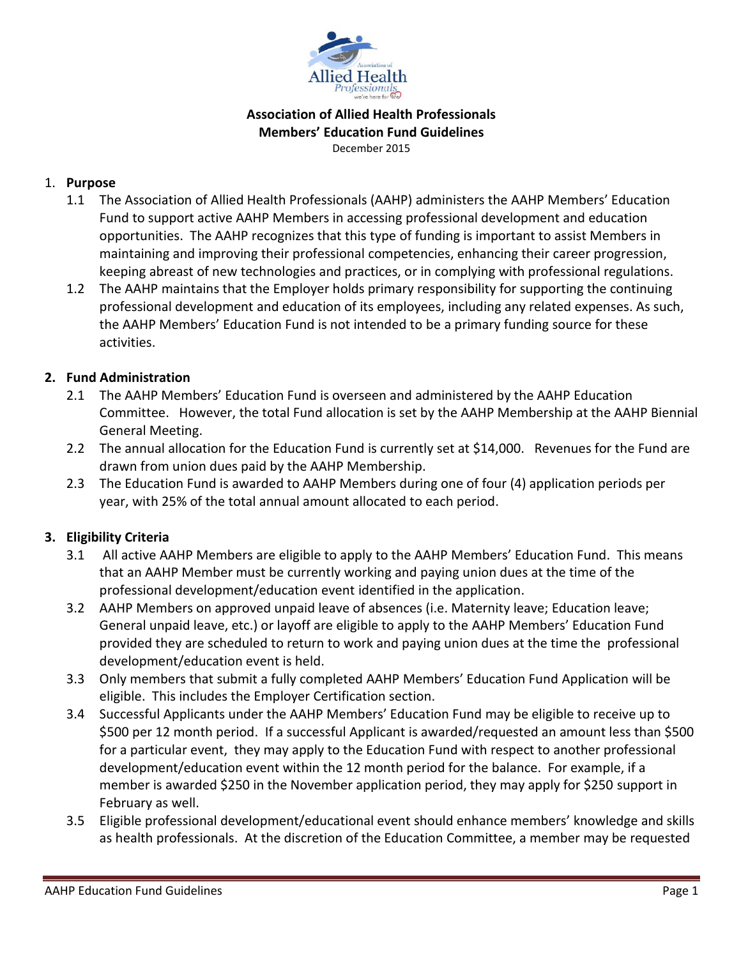

#### **Association of Allied Health Professionals Members' Education Fund Guidelines** December 2015

#### 1. **Purpose**

- 1.1 The Association of Allied Health Professionals (AAHP) administers the AAHP Members' Education Fund to support active AAHP Members in accessing professional development and education opportunities. The AAHP recognizes that this type of funding is important to assist Members in maintaining and improving their professional competencies, enhancing their career progression, keeping abreast of new technologies and practices, or in complying with professional regulations.
- 1.2 The AAHP maintains that the Employer holds primary responsibility for supporting the continuing professional development and education of its employees, including any related expenses. As such, the AAHP Members' Education Fund is not intended to be a primary funding source for these activities.

## **2. Fund Administration**

- 2.1 The AAHP Members' Education Fund is overseen and administered by the AAHP Education Committee. However, the total Fund allocation is set by the AAHP Membership at the AAHP Biennial General Meeting.
- 2.2 The annual allocation for the Education Fund is currently set at \$14,000. Revenues for the Fund are drawn from union dues paid by the AAHP Membership.
- 2.3 The Education Fund is awarded to AAHP Members during one of four (4) application periods per year, with 25% of the total annual amount allocated to each period.

## **3. Eligibility Criteria**

- 3.1 All active AAHP Members are eligible to apply to the AAHP Members' Education Fund. This means that an AAHP Member must be currently working and paying union dues at the time of the professional development/education event identified in the application.
- 3.2 AAHP Members on approved unpaid leave of absences (i.e. Maternity leave; Education leave; General unpaid leave, etc.) or layoff are eligible to apply to the AAHP Members' Education Fund provided they are scheduled to return to work and paying union dues at the time the professional development/education event is held.
- 3.3 Only members that submit a fully completed AAHP Members' Education Fund Application will be eligible. This includes the Employer Certification section.
- 3.4 Successful Applicants under the AAHP Members' Education Fund may be eligible to receive up to \$500 per 12 month period. If a successful Applicant is awarded/requested an amount less than \$500 for a particular event, they may apply to the Education Fund with respect to another professional development/education event within the 12 month period for the balance. For example, if a member is awarded \$250 in the November application period, they may apply for \$250 support in February as well.
- 3.5 Eligible professional development/educational event should enhance members' knowledge and skills as health professionals. At the discretion of the Education Committee, a member may be requested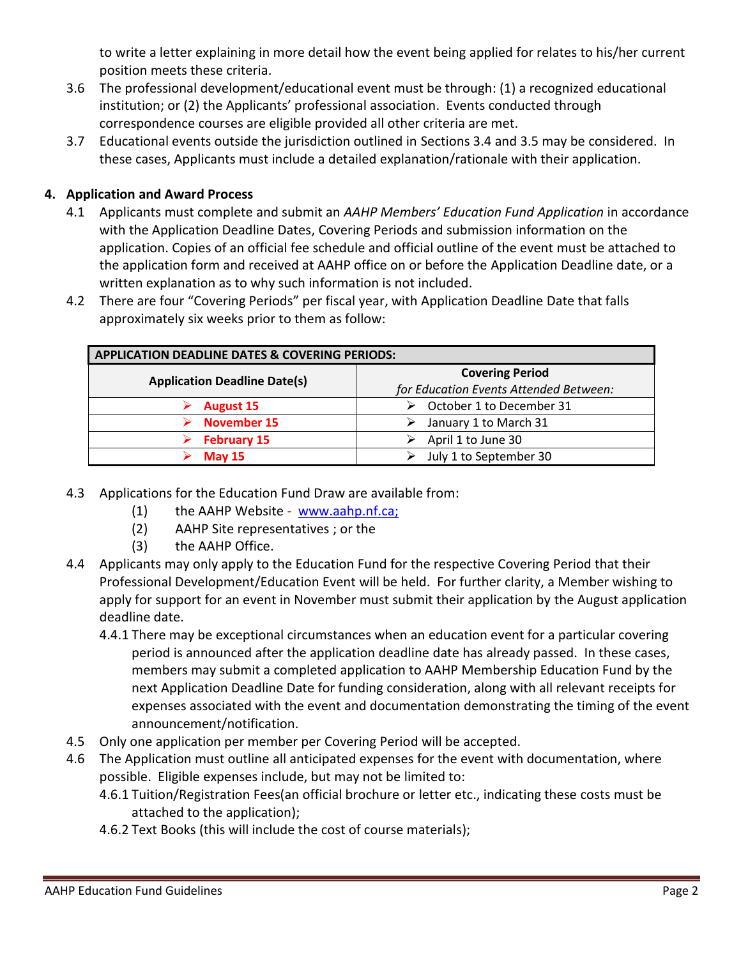to write a letter explaining in more detail how the event being applied for relates to his/her current position meets these criteria.

- 3.6 The professional development/educational event must be through: (1) a recognized educational institution; or (2) the Applicants' professional association. Events conducted through correspondence courses are eligible provided all other criteria are met.
- 3.7 Educational events outside the jurisdiction outlined in Sections 3.4 and 3.5 may be considered. In these cases, Applicants must include a detailed explanation/rationale with their application.

# **4. Application and Award Process**

- 4.1 Applicants must complete and submit an *AAHP Members' Education Fund Application* in accordance with the Application Deadline Dates, Covering Periods and submission information on the application. Copies of an official fee schedule and official outline of the event must be attached to the application form and received at AAHP office on or before the Application Deadline date, or a written explanation as to why such information is not included.
- 4.2 There are four "Covering Periods" per fiscal year, with Application Deadline Date that falls approximately six weeks prior to them as follow:

| <b>APPLICATION DEADLINE DATES &amp; COVERING PERIODS:</b> |                                        |
|-----------------------------------------------------------|----------------------------------------|
| <b>Application Deadline Date(s)</b>                       | <b>Covering Period</b>                 |
|                                                           | for Education Events Attended Between: |
| <b>August 15</b>                                          | October 1 to December 31               |
| <b>November 15</b>                                        | January 1 to March 31                  |
| <b>February 15</b>                                        | April 1 to June 30                     |
| <b>May 15</b>                                             | July 1 to September 30                 |

- 4.3 Applications for the Education Fund Draw are available from:
	- (1) the AAHP Website www.aahp.nf.ca;
	- (2) AAHP Site representatives ; or the
	- (3) the AAHP Office.
- 4.4 Applicants may only apply to the Education Fund for the respective Covering Period that their Professional Development/Education Event will be held. For further clarity, a Member wishing to apply for support for an event in November must submit their application by the August application deadline date.
	- 4.4.1 There may be exceptional circumstances when an education event for a particular covering period is announced after the application deadline date has already passed. In these cases, members may submit a completed application to AAHP Membership Education Fund by the next Application Deadline Date for funding consideration, along with all relevant receipts for expenses associated with the event and documentation demonstrating the timing of the event announcement/notification.
- 4.5 Only one application per member per Covering Period will be accepted.
- 4.6 The Application must outline all anticipated expenses for the event with documentation, where possible. Eligible expenses include, but may not be limited to:
	- 4.6.1 Tuition/Registration Fees(an official brochure or letter etc., indicating these costs must be attached to the application);
	- 4.6.2 Text Books (this will include the cost of course materials);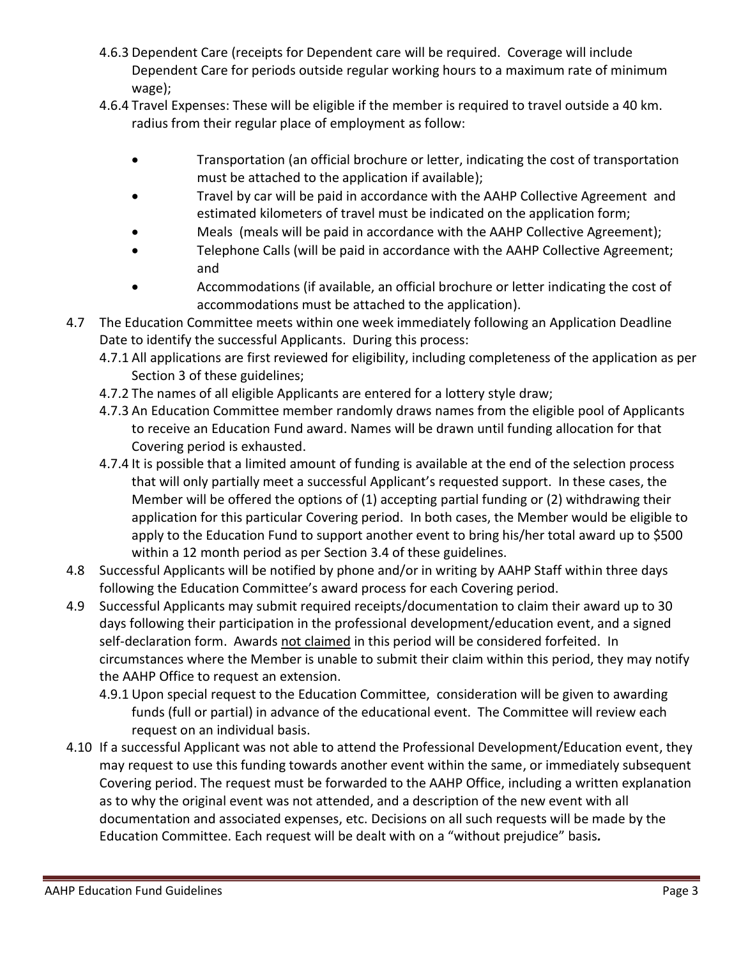- 4.6.3 Dependent Care (receipts for Dependent care will be required. Coverage will include Dependent Care for periods outside regular working hours to a maximum rate of minimum wage);
- 4.6.4 Travel Expenses: These will be eligible if the member is required to travel outside a 40 km. radius from their regular place of employment as follow:
	- Transportation (an official brochure or letter, indicating the cost of transportation must be attached to the application if available);
	- Travel by car will be paid in accordance with the AAHP Collective Agreement and estimated kilometers of travel must be indicated on the application form;
	- Meals (meals will be paid in accordance with the AAHP Collective Agreement);
	- Telephone Calls (will be paid in accordance with the AAHP Collective Agreement; and
	- Accommodations (if available, an official brochure or letter indicating the cost of accommodations must be attached to the application).
- 4.7 The Education Committee meets within one week immediately following an Application Deadline Date to identify the successful Applicants. During this process:
	- 4.7.1 All applications are first reviewed for eligibility, including completeness of the application as per Section 3 of these guidelines;
	- 4.7.2 The names of all eligible Applicants are entered for a lottery style draw;
	- 4.7.3 An Education Committee member randomly draws names from the eligible pool of Applicants to receive an Education Fund award. Names will be drawn until funding allocation for that Covering period is exhausted.
	- 4.7.4 It is possible that a limited amount of funding is available at the end of the selection process that will only partially meet a successful Applicant's requested support. In these cases, the Member will be offered the options of (1) accepting partial funding or (2) withdrawing their application for this particular Covering period. In both cases, the Member would be eligible to apply to the Education Fund to support another event to bring his/her total award up to \$500 within a 12 month period as per Section 3.4 of these guidelines.
- 4.8 Successful Applicants will be notified by phone and/or in writing by AAHP Staff within three days following the Education Committee's award process for each Covering period.
- 4.9 Successful Applicants may submit required receipts/documentation to claim their award up to 30 days following their participation in the professional development/education event, and a signed self-declaration form. Awards not claimed in this period will be considered forfeited. In circumstances where the Member is unable to submit their claim within this period, they may notify the AAHP Office to request an extension.
	- 4.9.1 Upon special request to the Education Committee, consideration will be given to awarding funds (full or partial) in advance of the educational event. The Committee will review each request on an individual basis.
- 4.10 If a successful Applicant was not able to attend the Professional Development/Education event, they may request to use this funding towards another event within the same, or immediately subsequent Covering period. The request must be forwarded to the AAHP Office, including a written explanation as to why the original event was not attended, and a description of the new event with all documentation and associated expenses, etc. Decisions on all such requests will be made by the Education Committee. Each request will be dealt with on a "without prejudice" basis*.*